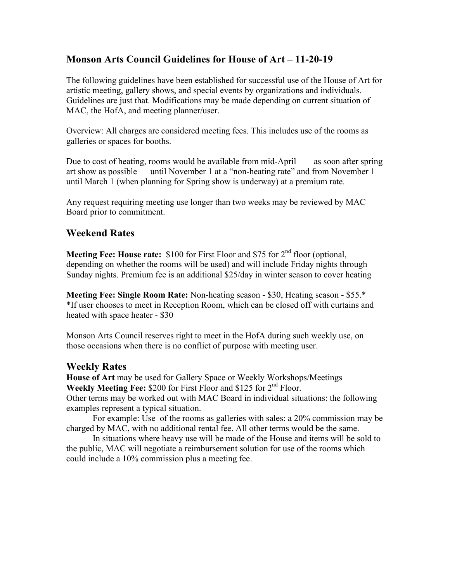# **Monson Arts Council Guidelines for House of Art – 11-20-19**

The following guidelines have been established for successful use of the House of Art for artistic meeting, gallery shows, and special events by organizations and individuals. Guidelines are just that. Modifications may be made depending on current situation of MAC, the HofA, and meeting planner/user.

Overview: All charges are considered meeting fees. This includes use of the rooms as galleries or spaces for booths.

Due to cost of heating, rooms would be available from mid-April — as soon after spring art show as possible — until November 1 at a "non-heating rate" and from November 1 until March 1 (when planning for Spring show is underway) at a premium rate.

Any request requiring meeting use longer than two weeks may be reviewed by MAC Board prior to commitment.

## **Weekend Rates**

**Meeting Fee: House rate:** \$100 for First Floor and \$75 for 2<sup>nd</sup> floor (optional, depending on whether the rooms will be used) and will include Friday nights through Sunday nights. Premium fee is an additional \$25/day in winter season to cover heating

**Meeting Fee: Single Room Rate:** Non-heating season - \$30, Heating season - \$55.\* \*If user chooses to meet in Reception Room, which can be closed off with curtains and heated with space heater - \$30

Monson Arts Council reserves right to meet in the HofA during such weekly use, on those occasions when there is no conflict of purpose with meeting user.

### **Weekly Rates**

**House of Art** may be used for Gallery Space or Weekly Workshops/Meetings Weekly Meeting Fee: \$200 for First Floor and \$125 for 2<sup>nd</sup> Floor. Other terms may be worked out with MAC Board in individual situations: the following examples represent a typical situation.

For example: Use of the rooms as galleries with sales: a 20% commission may be charged by MAC, with no additional rental fee. All other terms would be the same.

In situations where heavy use will be made of the House and items will be sold to the public, MAC will negotiate a reimbursement solution for use of the rooms which could include a 10% commission plus a meeting fee.